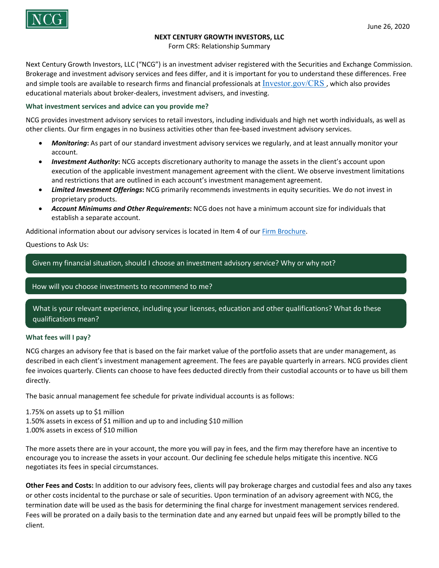

### **NEXT CENTURY GROWTH INVESTORS, LLC**

Form CRS: Relationship Summary

Next Century Growth Investors, LLC ("NCG") is an investment adviser registered with the Securities and Exchange Commission. Brokerage and investment advisory services and fees differ, and it is important for you to understand these differences. Free and simple tools are available to research firms and financial professionals at Investor.gov/CRS, which also provides educational materials about broker-dealers, investment advisers, and investing.

#### **What investment services and advice can you provide me?**

NCG provides investment advisory services to retail investors, including individuals and high net worth individuals, as well as other clients. Our firm engages in no business activities other than fee-based investment advisory services.

- *Monitoring***:** As part of our standard investment advisory services we regularly, and at least annually monitor your account.
- *Investment Authority***:** NCG accepts discretionary authority to manage the assets in the client's account upon execution of the applicable investment management agreement with the client. We observe investment limitations and restrictions that are outlined in each account's investment management agreement.
- *Limited Investment Offerings***:** NCG primarily recommends investments in equity securities. We do not invest in proprietary products.
- *Account Minimums and Other Requirements***:** NCG does not have a minimum account size for individuals that establish a separate account.

Additional information about our advisory services is located in Item 4 of ou[r Firm Brochure.](https://files.adviserinfo.sec.gov/IAPD/Content/Common/crd_iapd_Brochure.aspx?BRCHR_VRSN_ID=773246)

Questions to Ask Us:

Given my financial situation, should I choose an investment advisory service? Why or why not?

### How will you choose investments to recommend to me?

What is your relevant experience, including your licenses, education and other qualifications? What do these qualifications mean?

### **What fees will I pay?**

NCG charges an advisory fee that is based on the fair market value of the portfolio assets that are under management, as described in each client's investment management agreement. The fees are payable quarterly in arrears. NCG provides client fee invoices quarterly. Clients can choose to have fees deducted directly from their custodial accounts or to have us bill them directly.

The basic annual management fee schedule for private individual accounts is as follows:

1.75% on assets up to \$1 million

- 1.50% assets in excess of \$1 million and up to and including \$10 million
- 1.00% assets in excess of \$10 million

The more assets there are in your account, the more you will pay in fees, and the firm may therefore have an incentive to encourage you to increase the assets in your account. Our declining fee schedule helps mitigate this incentive. NCG negotiates its fees in special circumstances.

**Other Fees and Costs:** In addition to our advisory fees, clients will pay brokerage charges and custodial fees and also any taxes or other costs incidental to the purchase or sale of securities. Upon termination of an advisory agreement with NCG, the termination date will be used as the basis for determining the final charge for investment management services rendered. Fees will be prorated on a daily basis to the termination date and any earned but unpaid fees will be promptly billed to the client.